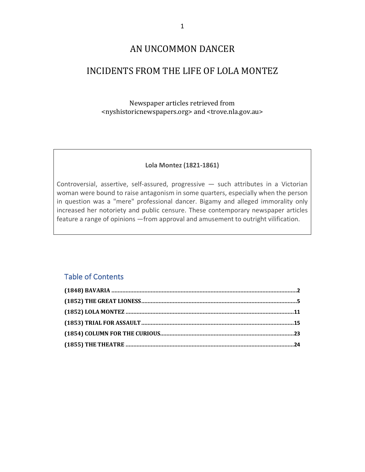### AN UNCOMMON DANCER

## INCIDENTS FROM THE LIFE OF LOLA MONTEZ

Newspaper articles retrieved from <nyshistoricnewspapers.org> and <trove.nla.gov.au>

#### **Lola Montez (1821-1861)**

Controversial, assertive, self-assured, progressive — such attributes in a Victorian woman were bound to raise antagonism in some quarters, especially when the person in question was a "mere" professional dancer. Bigamy and alleged immorality only increased her notoriety and public censure. These contemporary newspaper articles feature a range of opinions —from approval and amusement to outright vilification.

#### Table of Contents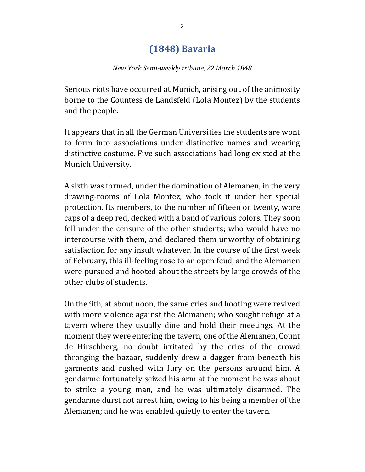# **(1848) Bavaria**

#### *New York Semi-weekly tribune, 22 March 1848*

Serious riots have occurred at Munich, arising out of the animosity borne to the Countess de Landsfeld (Lola Montez) by the students and the people.

It appears that in all the German Universities the students are wont to form into associations under distinctive names and wearing distinctive costume. Five such associations had long existed at the Munich University.

A sixth was formed, under the domination of Alemanen, in the very drawing-rooms of Lola Montez, who took it under her special protection. Its members, to the number of fifteen or twenty, wore caps of a deep red, decked with a band of various colors. They soon fell under the censure of the other students; who would have no intercourse with them, and declared them unworthy of obtaining satisfaction for any insult whatever. In the course of the first week of February, this ill-feeling rose to an open feud, and the Alemanen were pursued and hooted about the streets by large crowds of the other clubs of students.

On the 9th, at about noon, the same cries and hooting were revived with more violence against the Alemanen; who sought refuge at a tavern where they usually dine and hold their meetings. At the moment they were entering the tavern, one of the Alemanen, Count de Hirschberg, no doubt irritated by the cries of the crowd thronging the bazaar, suddenly drew a dagger from beneath his garments and rushed with fury on the persons around him. A gendarme fortunately seized his arm at the moment he was about to strike a young man, and he was ultimately disarmed. The gendarme durst not arrest him, owing to his being a member of the Alemanen; and he was enabled quietly to enter the tavern.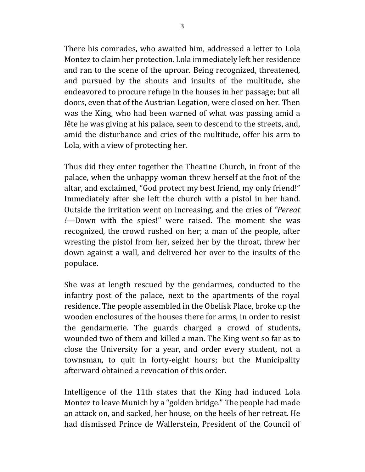There his comrades, who awaited him, addressed a letter to Lola Montez to claim her protection. Lola immediately left her residence and ran to the scene of the uproar. Being recognized, threatened, and pursued by the shouts and insults of the multitude, she endeavored to procure refuge in the houses in her passage; but all doors, even that of the Austrian Legation, were closed on her. Then was the King, who had been warned of what was passing amid a fête he was giving at his palace, seen to descend to the streets, and, amid the disturbance and cries of the multitude, offer his arm to Lola, with a view of protecting her.

Thus did they enter together the Theatine Church, in front of the palace, when the unhappy woman threw herself at the foot of the altar, and exclaimed, "God protect my best friend, my only friend!" Immediately after she left the church with a pistol in her hand. Outside the irritation went on increasing, and the cries of *"Pereat !*—Down with the spies!" were raised. The moment she was recognized, the crowd rushed on her; a man of the people, after wresting the pistol from her, seized her by the throat, threw her down against a wall, and delivered her over to the insults of the populace.

She was at length rescued by the gendarmes, conducted to the infantry post of the palace, next to the apartments of the royal residence. The people assembled in the Obelisk Place, broke up the wooden enclosures of the houses there for arms, in order to resist the gendarmerie. The guards charged a crowd of students, wounded two of them and killed a man. The King went so far as to close the University for a year, and order every student, not a townsman, to quit in forty-eight hours; but the Municipality afterward obtained a revocation of this order.

Intelligence of the 11th states that the King had induced Lola Montez to leave Munich by a "golden bridge." The people had made an attack on, and sacked, her house, on the heels of her retreat. He had dismissed Prince de Wallerstein, President of the Council of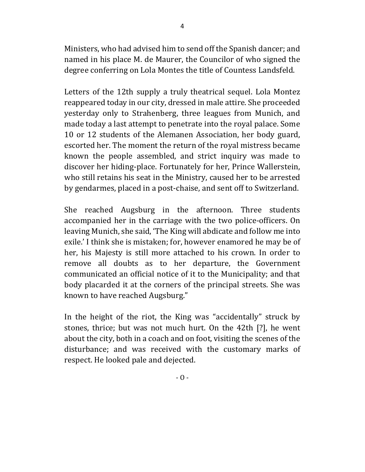Ministers, who had advised him to send off the Spanish dancer; and named in his place M. de Maurer, the Councilor of who signed the degree conferring on Lola Montes the title of Countess Landsfeld.

Letters of the 12th supply a truly theatrical sequel. Lola Montez reappeared today in our city, dressed in male attire. She proceeded yesterday only to Strahenberg, three leagues from Munich, and made today a last attempt to penetrate into the royal palace. Some 10 or 12 students of the Alemanen Association, her body guard, escorted her. The moment the return of the royal mistress became known the people assembled, and strict inquiry was made to discover her hiding-place. Fortunately for her, Prince Wallerstein, who still retains his seat in the Ministry, caused her to be arrested by gendarmes, placed in a post-chaise, and sent off to Switzerland.

She reached Augsburg in the afternoon. Three students accompanied her in the carriage with the two police-officers. On leaving Munich, she said, 'The King will abdicate and follow me into exile.' I think she is mistaken; for, however enamored he may be of her, his Majesty is still more attached to his crown. In order to remove all doubts as to her departure, the Government communicated an official notice of it to the Municipality; and that body placarded it at the corners of the principal streets. She was known to have reached Augsburg."

In the height of the riot, the King was "accidentally" struck by stones, thrice; but was not much hurt. On the 42th [?], he went about the city, both in a coach and on foot, visiting the scenes of the disturbance; and was received with the customary marks of respect. He looked pale and dejected.

 $-0 -$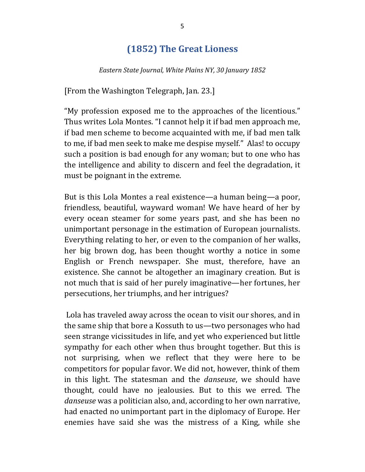# **(1852) The Great Lioness**

*Eastern State Journal, White Plains NY, 30 January 1852*

[From the Washington Telegraph, Jan. 23.]

"My profession exposed me to the approaches of the licentious." Thus writes Lola Montes. "I cannot help it if bad men approach me, if bad men scheme to become acquainted with me, if bad men talk to me, if bad men seek to make me despise myself." Alas! to occupy such a position is bad enough for any woman; but to one who has the intelligence and ability to discern and feel the degradation, it must be poignant in the extreme.

But is this Lola Montes a real existence—a human being—a poor, friendless, beautiful, wayward woman! We have heard of her by every ocean steamer for some years past, and she has been no unimportant personage in the estimation of European journalists. Everything relating to her, or even to the companion of her walks, her big brown dog, has been thought worthy a notice in some English or French newspaper. She must, therefore, have an existence. She cannot be altogether an imaginary creation. But is not much that is said of her purely imaginative—her fortunes, her persecutions, her triumphs, and her intrigues?

Lola has traveled away across the ocean to visit our shores, and in the same ship that bore a Kossuth to us—two personages who had seen strange vicissitudes in life, and yet who experienced but little sympathy for each other when thus brought together. But this is not surprising, when we reflect that they were here to be competitors for popular favor. We did not, however, think of them in this light. The statesman and the *danseuse*, we should have thought, could have no jealousies. But to this we erred. The *danseuse* was a politician also, and, according to her own narrative, had enacted no unimportant part in the diplomacy of Europe. Her enemies have said she was the mistress of a King, while she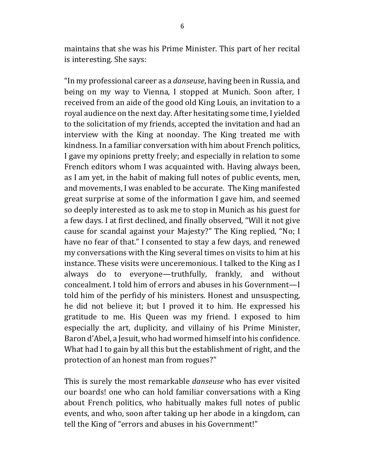maintains that she was his Prime Minister. This part of her recital is interesting. She says:

"In my professional career as a *danseuse*, having been in Russia, and being on my way to Vienna, I stopped at Munich. Soon after, I received from an aide of the good old King Louis, an invitation to a royal audience on the next day. After hesitating some time, I yielded to the solicitation of my friends, accepted the invitation and had an interview with the King at noonday. The King treated me with kindness. In a familiar conversation with him about French politics, I gave my opinions pretty freely; and especially in relation to some French editors whom I was acquainted with. Having always been, as I am yet, in the habit of making full notes of public events, men, and movements, I was enabled to be accurate. The King manifested great surprise at some of the information I gave him, and seemed so deeply interested as to ask me to stop in Munich as his guest for a few days. I at first declined, and finally observed, "Will it not give cause for scandal against your Majesty?" The King replied, "No; I have no fear of that." I consented to stay a few days, and renewed my conversations with the King several times on visits to him at his instance. These visits were unceremonious. I talked to the King as I always do to everyone—truthfully, frankly, and without concealment. I told him of errors and abuses in his Government-I told him of the perfidy of his ministers. Honest and unsuspecting, he did not believe it; but I proved it to him. He expressed his gratitude to me. His Queen was my friend. I exposed to him especially the art, duplicity, and villainy of his Prime Minister, Baron d'Abel, a Jesuit, who had wormed himself into his confidence. What had I to gain by all this but the establishment of right, and the protection of an honest man from rogues?"

This is surely the most remarkable *danseuse* who has ever visited our boards! one who can hold familiar conversations with a King about French politics, who habitually makes full notes of public events, and who, soon after taking up her abode in a kingdom, can tell the King of "errors and abuses in his Government!"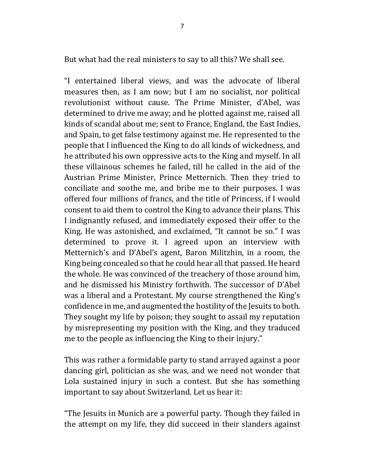But what had the real ministers to say to all this? We shall see.

"I entertained liberal views, and was the advocate of liberal measures then, as I am now; but I am no socialist, nor political revolutionist without cause. The Prime Minister, d'Abel, was determined to drive me away; and he plotted against me, raised all kinds of scandal about me; sent to France, England, the East Indies, and Spain, to get false testimony against me. He represented to the people that I influenced the King to do all kinds of wickedness, and he attributed his own oppressive acts to the King and myself. In all these villainous schemes he failed, till he called in the aid of the Austrian Prime Minister, Prince Metternich. Then they tried to conciliate and soothe me, and bribe me to their purposes. I was offered four millions of francs, and the title of Princess, if I would consent to aid them to control the King to advance their plans. This I indignantly refused, and immediately exposed their offer to the King. He was astonished, and exclaimed, "It cannot be so." I was determined to prove it. I agreed upon an interview with Metternich's and D'Abel's agent, Baron Militzhin, in a room, the King being concealed so that he could hear all that passed. He heard the whole. He was convinced of the treachery of those around him, and he dismissed his Ministry forthwith. The successor of D'Abel was a liberal and a Protestant. My course strengthened the King's confidence in me, and augmented the hostility of the Jesuits to both. They sought my life by poison; they sought to assail my reputation by misrepresenting my position with the King, and they traduced me to the people as influencing the King to their injury."

This was rather a formidable party to stand arrayed against a poor dancing girl, politician as she was, and we need not wonder that Lola sustained injury in such a contest. But she has something important to say about Switzerland. Let us hear it:

"The Jesuits in Munich are a powerful party. Though they failed in the attempt on my life, they did succeed in their slanders against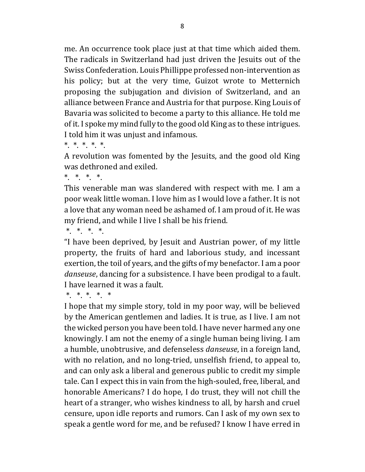me. An occurrence took place just at that time which aided them. The radicals in Switzerland had just driven the Jesuits out of the Swiss Confederation. Louis Phillippe professed non-intervention as his policy; but at the very time, Guizot wrote to Metternich proposing the subjugation and division of Switzerland, and an alliance between France and Austria for that purpose. King Louis of Bavaria was solicited to become a party to this alliance. He told me of it. I spoke my mind fully to the good old King as to these intrigues. I told him it was unjust and infamous.

\* \* \* \* \*

A revolution was fomented by the Jesuits, and the good old King was dethroned and exiled.

 $*$   $*$   $*$   $*$ 

This venerable man was slandered with respect with me. I am a poor weak little woman. I love him as I would love a father. It is not a love that any woman need be ashamed of. I am proud of it. He was my friend, and while I live I shall be his friend.

 $*$   $*$   $*$   $*$ 

"I have been deprived, by Jesuit and Austrian power, of my little property, the fruits of hard and laborious study, and incessant exertion, the toil of years, and the gifts of my benefactor. I am a poor *danseuse*, dancing for a subsistence. I have been prodigal to a fault. I have learned it was a fault.

\* \* \* \* \*

I hope that my simple story, told in my poor way, will be believed by the American gentlemen and ladies. It is true, as I live. I am not the wicked person you have been told. I have never harmed any one knowingly. I am not the enemy of a single human being living. I am a humble, unobtrusive, and defenseless *danseuse*, in a foreign land, with no relation, and no long-tried, unselfish friend, to appeal to, and can only ask a liberal and generous public to credit my simple tale. Can I expect this in vain from the high-souled, free, liberal, and honorable Americans? I do hope, I do trust, they will not chill the heart of a stranger, who wishes kindness to all, by harsh and cruel censure, upon idle reports and rumors. Can I ask of my own sex to speak a gentle word for me, and be refused? I know I have erred in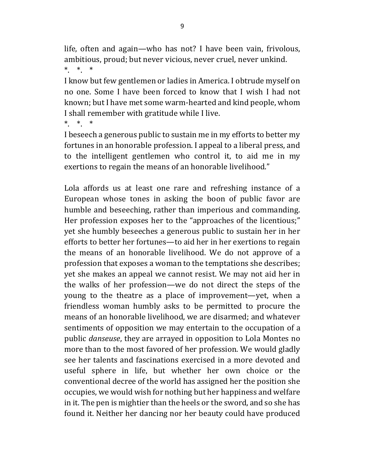life, often and again—who has not? I have been vain, frivolous, ambitious, proud; but never vicious, never cruel, never unkind.  $*$   $*$   $*$ 

I know but few gentlemen or ladies in America. I obtrude myself on no one. Some I have been forced to know that I wish I had not known; but I have met some warm-hearted and kind people, whom I shall remember with gratitude while I live.

 $*$   $*$   $*$ 

I beseech a generous public to sustain me in my efforts to better my fortunes in an honorable profession. I appeal to a liberal press, and to the intelligent gentlemen who control it, to aid me in my exertions to regain the means of an honorable livelihood."

Lola affords us at least one rare and refreshing instance of a European whose tones in asking the boon of public favor are humble and beseeching, rather than imperious and commanding. Her profession exposes her to the "approaches of the licentious;" yet she humbly beseeches a generous public to sustain her in her efforts to better her fortunes—to aid her in her exertions to regain the means of an honorable livelihood. We do not approve of a profession that exposes a woman to the temptations she describes; yet she makes an appeal we cannot resist. We may not aid her in the walks of her profession—we do not direct the steps of the young to the theatre as a place of improvement—yet, when a friendless woman humbly asks to be permitted to procure the means of an honorable livelihood, we are disarmed; and whatever sentiments of opposition we may entertain to the occupation of a public *danseuse*, they are arrayed in opposition to Lola Montes no more than to the most favored of her profession. We would gladly see her talents and fascinations exercised in a more devoted and useful sphere in life, but whether her own choice or the conventional decree of the world has assigned her the position she occupies, we would wish for nothing but her happiness and welfare in it. The pen is mightier than the heels or the sword, and so she has found it. Neither her dancing nor her beauty could have produced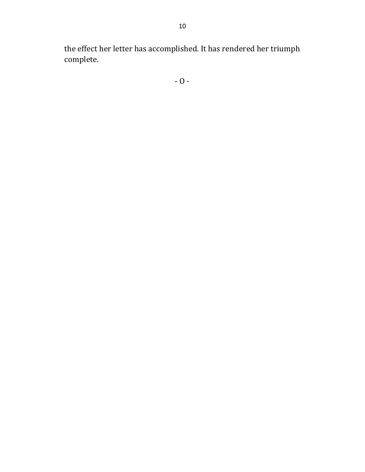the effect her letter has accomplished. It has rendered her triumph complete.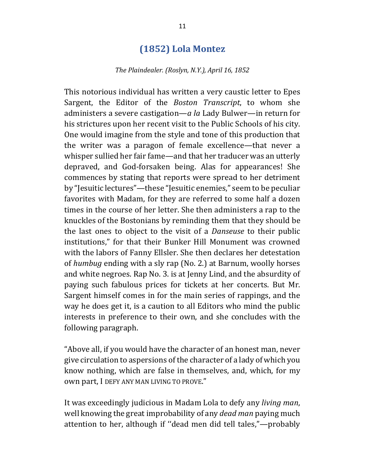### **(1852) Lola Montez**

#### The Plaindealer. (Roslyn, N.Y.), April 16, 1852

This notorious individual has written a very caustic letter to Epes Sargent, the Editor of the *Boston Transcript*, to whom she administers a severe castigation—*a* la Lady Bulwer—in return for his strictures upon her recent visit to the Public Schools of his city. One would imagine from the style and tone of this production that the writer was a paragon of female excellence—that never a whisper sullied her fair fame—and that her traducer was an utterly depraved, and God-forsaken being. Alas for appearances! She commences by stating that reports were spread to her detriment by "Jesuitic lectures"—these "Jesuitic enemies," seem to be peculiar favorites with Madam, for they are referred to some half a dozen times in the course of her letter. She then administers a rap to the knuckles of the Bostonians by reminding them that they should be the last ones to object to the visit of a *Danseuse* to their public institutions," for that their Bunker Hill Monument was crowned with the labors of Fanny Ellsler. She then declares her detestation of *humbug* ending with a sly rap (No. 2.) at Barnum, woolly horses and white negroes. Rap No. 3. is at Jenny Lind, and the absurdity of paying such fabulous prices for tickets at her concerts. But Mr. Sargent himself comes in for the main series of rappings, and the way he does get it, is a caution to all Editors who mind the public interests in preference to their own, and she concludes with the following paragraph.

"Above all, if you would have the character of an honest man, never give circulation to aspersions of the character of a lady of which you know nothing, which are false in themselves, and, which, for my own part, I DEFY ANY MAN LIVING TO PROVE."

It was exceedingly judicious in Madam Lola to defy any *living man*, well knowing the great improbability of any *dead man* paying much attention to her, although if "dead men did tell tales,"-probably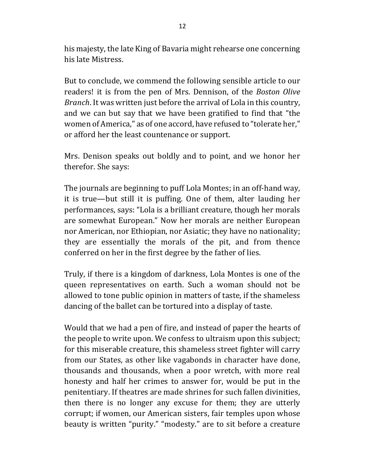his majesty, the late King of Bavaria might rehearse one concerning his late Mistress.

But to conclude, we commend the following sensible article to our readers! it is from the pen of Mrs. Dennison, of the *Boston Olive Branch*. It was written just before the arrival of Lola in this country, and we can but say that we have been gratified to find that "the women of America," as of one accord, have refused to "tolerate her," or afford her the least countenance or support.

Mrs. Denison speaks out boldly and to point, and we honor her therefor. She says:

The journals are beginning to puff Lola Montes; in an off-hand way, it is true—but still it is puffing. One of them, alter lauding her performances, says: "Lola is a brilliant creature, though her morals are somewhat European." Now her morals are neither European nor American, nor Ethiopian, nor Asiatic; they have no nationality; they are essentially the morals of the pit, and from thence conferred on her in the first degree by the father of lies.

Truly, if there is a kingdom of darkness, Lola Montes is one of the queen representatives on earth. Such a woman should not be allowed to tone public opinion in matters of taste, if the shameless dancing of the ballet can be tortured into a display of taste.

Would that we had a pen of fire, and instead of paper the hearts of the people to write upon. We confess to ultraism upon this subject; for this miserable creature, this shameless street fighter will carry from our States, as other like vagabonds in character have done, thousands and thousands, when a poor wretch, with more real honesty and half her crimes to answer for, would be put in the penitentiary. If theatres are made shrines for such fallen divinities, then there is no longer any excuse for them; they are utterly corrupt; if women, our American sisters, fair temples upon whose beauty is written "purity." "modesty." are to sit before a creature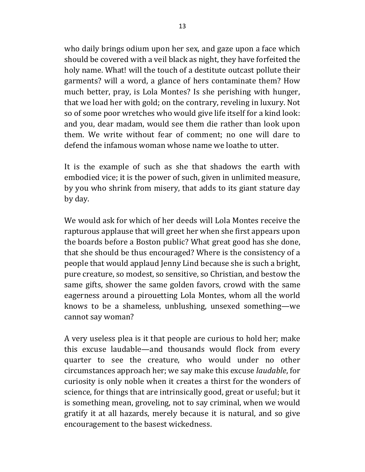who daily brings odium upon her sex, and gaze upon a face which should be covered with a veil black as night, they have forfeited the holy name. What! will the touch of a destitute outcast pollute their garments? will a word, a glance of hers contaminate them? How much better, pray, is Lola Montes? Is she perishing with hunger, that we load her with gold; on the contrary, reveling in luxury. Not so of some poor wretches who would give life itself for a kind look: and you, dear madam, would see them die rather than look upon them. We write without fear of comment; no one will dare to defend the infamous woman whose name we loathe to utter.

It is the example of such as she that shadows the earth with embodied vice; it is the power of such, given in unlimited measure, by you who shrink from misery, that adds to its giant stature day by day. 

We would ask for which of her deeds will Lola Montes receive the rapturous applause that will greet her when she first appears upon the boards before a Boston public? What great good has she done, that she should be thus encouraged? Where is the consistency of a people that would applaud Jenny Lind because she is such a bright, pure creature, so modest, so sensitive, so Christian, and bestow the same gifts, shower the same golden favors, crowd with the same eagerness around a pirouetting Lola Montes, whom all the world knows to be a shameless, unblushing, unsexed something—we cannot say woman?

A very useless plea is it that people are curious to hold her; make this excuse laudable—and thousands would flock from every quarter to see the creature, who would under no other circumstances approach her; we say make this excuse *laudable*, for curiosity is only noble when it creates a thirst for the wonders of science, for things that are intrinsically good, great or useful; but it is something mean, groveling, not to say criminal, when we would gratify it at all hazards, merely because it is natural, and so give encouragement to the basest wickedness.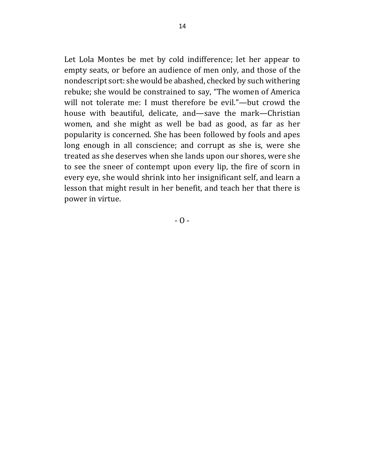Let Lola Montes be met by cold indifference; let her appear to empty seats, or before an audience of men only, and those of the nondescript sort: she would be abashed, checked by such withering rebuke; she would be constrained to say, "The women of America will not tolerate me: I must therefore be evil."—but crowd the house with beautiful, delicate, and—save the mark—Christian women, and she might as well be bad as good, as far as her popularity is concerned. She has been followed by fools and apes long enough in all conscience; and corrupt as she is, were she treated as she deserves when she lands upon our shores, were she to see the sneer of contempt upon every lip, the fire of scorn in every eye, she would shrink into her insignificant self, and learn a lesson that might result in her benefit, and teach her that there is power in virtue.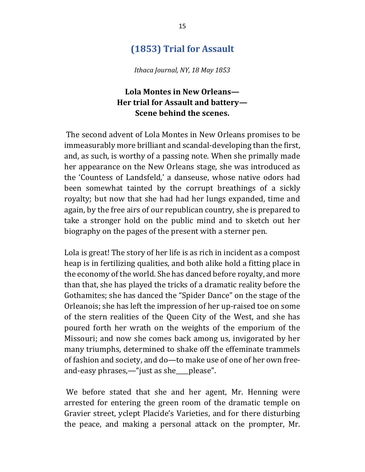## **(1853) Trial for Assault**

*Ithaca Journal, NY, 18 May 1853*

### **Lola Montes in New Orleans— Her trial for Assault and battery— Scene behind the scenes.**

The second advent of Lola Montes in New Orleans promises to be immeasurably more brilliant and scandal-developing than the first, and, as such, is worthy of a passing note. When she primally made her appearance on the New Orleans stage, she was introduced as the 'Countess of Landsfeld,' a danseuse, whose native odors had been somewhat tainted by the corrupt breathings of a sickly royalty; but now that she had had her lungs expanded, time and again, by the free airs of our republican country, she is prepared to take a stronger hold on the public mind and to sketch out her biography on the pages of the present with a sterner pen.

Lola is great! The story of her life is as rich in incident as a compost heap is in fertilizing qualities, and both alike hold a fitting place in the economy of the world. She has danced before royalty, and more than that, she has played the tricks of a dramatic reality before the Gothamites; she has danced the "Spider Dance" on the stage of the Orleanois; she has left the impression of her up-raised toe on some of the stern realities of the Queen City of the West, and she has poured forth her wrath on the weights of the emporium of the Missouri; and now she comes back among us, invigorated by her many triumphs, determined to shake off the effeminate trammels of fashion and society, and do—to make use of one of her own freeand-easy phrases,—"just as she\_\_\_please".

We before stated that she and her agent, Mr. Henning were arrested for entering the green room of the dramatic temple on Gravier street, yclept Placide's Varieties, and for there disturbing the peace, and making a personal attack on the prompter, Mr.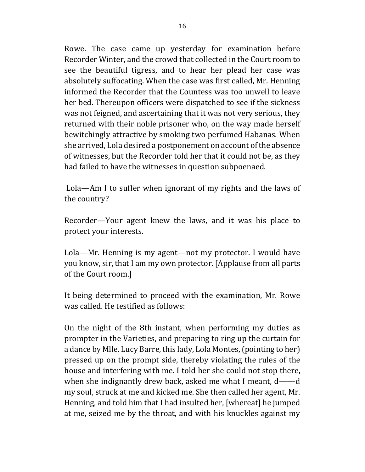Rowe. The case came up yesterday for examination before Recorder Winter, and the crowd that collected in the Court room to see the beautiful tigress, and to hear her plead her case was absolutely suffocating. When the case was first called, Mr. Henning informed the Recorder that the Countess was too unwell to leave her bed. Thereupon officers were dispatched to see if the sickness was not feigned, and ascertaining that it was not very serious, they returned with their noble prisoner who, on the way made herself bewitchingly attractive by smoking two perfumed Habanas. When she arrived, Lola desired a postponement on account of the absence of witnesses, but the Recorder told her that it could not be, as they had failed to have the witnesses in question subpoenaed.

Lola—Am I to suffer when ignorant of my rights and the laws of the country?

Recorder—Your agent knew the laws, and it was his place to protect your interests.

Lola—Mr. Henning is my agent—not my protector. I would have you know, sir, that I am my own protector. [Applause from all parts of the Court room.]

It being determined to proceed with the examination, Mr. Rowe was called. He testified as follows:

On the night of the 8th instant, when performing my duties as prompter in the Varieties, and preparing to ring up the curtain for a dance by Mlle. Lucy Barre, this lady, Lola Montes, (pointing to her) pressed up on the prompt side, thereby violating the rules of the house and interfering with me. I told her she could not stop there, when she indignantly drew back, asked me what I meant,  $d$ ——d my soul, struck at me and kicked me. She then called her agent, Mr. Henning, and told him that I had insulted her, [whereat] he jumped at me, seized me by the throat, and with his knuckles against my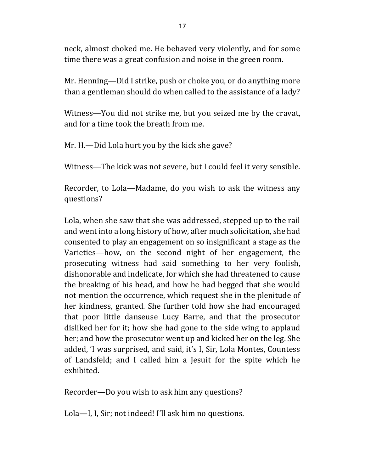neck, almost choked me. He behaved very violently, and for some time there was a great confusion and noise in the green room.

Mr. Henning—Did I strike, push or choke you, or do anything more than a gentleman should do when called to the assistance of a lady?

Witness—You did not strike me, but you seized me by the cravat, and for a time took the breath from me.

Mr. H.—Did Lola hurt you by the kick she gave?

Witness—The kick was not severe, but I could feel it very sensible.

Recorder, to Lola-Madame, do you wish to ask the witness any questions?

Lola, when she saw that she was addressed, stepped up to the rail and went into a long history of how, after much solicitation, she had consented to play an engagement on so insignificant a stage as the Varieties—how, on the second night of her engagement, the prosecuting witness had said something to her very foolish, dishonorable and indelicate, for which she had threatened to cause the breaking of his head, and how he had begged that she would not mention the occurrence, which request she in the plenitude of her kindness, granted. She further told how she had encouraged that poor little danseuse Lucy Barre, and that the prosecutor disliked her for it; how she had gone to the side wing to applaud her; and how the prosecutor went up and kicked her on the leg. She added, 'I was surprised, and said, it's I, Sir, Lola Montes, Countess of Landsfeld; and I called him a Jesuit for the spite which he exhibited.

Recorder—Do you wish to ask him any questions?

Lola—I, I, Sir; not indeed! I'll ask him no questions.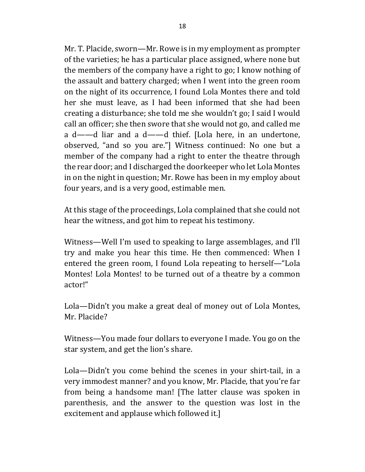Mr. T. Placide, sworn—Mr. Rowe is in my employment as prompter of the varieties; he has a particular place assigned, where none but the members of the company have a right to go; I know nothing of the assault and battery charged; when I went into the green room on the night of its occurrence, I found Lola Montes there and told her she must leave, as I had been informed that she had been creating a disturbance; she told me she wouldn't go; I said I would call an officer; she then swore that she would not go, and called me a  $d$ ——d liar and a  $d$ ——d thief. [Lola here, in an undertone, observed, "and so you are."] Witness continued: No one but a member of the company had a right to enter the theatre through the rear door; and I discharged the doorkeeper who let Lola Montes in on the night in question; Mr. Rowe has been in my employ about four years, and is a very good, estimable men.

At this stage of the proceedings, Lola complained that she could not hear the witness, and got him to repeat his testimony.

Witness—Well I'm used to speaking to large assemblages, and I'll try and make you hear this time. He then commenced: When I entered the green room, I found Lola repeating to herself—"Lola Montes! Lola Montes! to be turned out of a theatre by a common actor!"

Lola—Didn't you make a great deal of money out of Lola Montes, Mr. Placide?

Witness—You made four dollars to everyone I made. You go on the star system, and get the lion's share.

Lola—Didn't you come behind the scenes in your shirt-tail, in a very immodest manner? and you know, Mr. Placide, that you're far from being a handsome man! [The latter clause was spoken in parenthesis, and the answer to the question was lost in the excitement and applause which followed it.]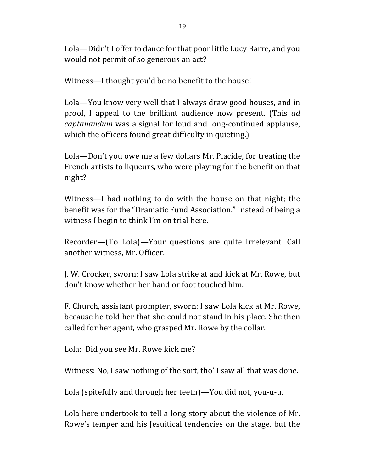Lola—Didn't I offer to dance for that poor little Lucy Barre, and you would not permit of so generous an act?

Witness—I thought you'd be no benefit to the house!

Lola—You know very well that I always draw good houses, and in proof, I appeal to the brilliant audience now present. (This *ad captanandum* was a signal for loud and long-continued applause, which the officers found great difficulty in quieting.)

Lola—Don't you owe me a few dollars Mr. Placide, for treating the French artists to liqueurs, who were playing for the benefit on that night?

Witness—I had nothing to do with the house on that night; the benefit was for the "Dramatic Fund Association." Instead of being a witness I begin to think I'm on trial here.

Recorder—(To Lola)—Your questions are quite irrelevant. Call another witness, Mr. Officer.

J. W. Crocker, sworn: I saw Lola strike at and kick at Mr. Rowe, but don't know whether her hand or foot touched him.

F. Church, assistant prompter, sworn: I saw Lola kick at Mr. Rowe, because he told her that she could not stand in his place. She then called for her agent, who grasped Mr. Rowe by the collar.

Lola: Did you see Mr. Rowe kick me?

Witness: No, I saw nothing of the sort, tho' I saw all that was done.

Lola (spitefully and through her teeth)—You did not, you-u-u.

Lola here undertook to tell a long story about the violence of Mr. Rowe's temper and his Jesuitical tendencies on the stage. but the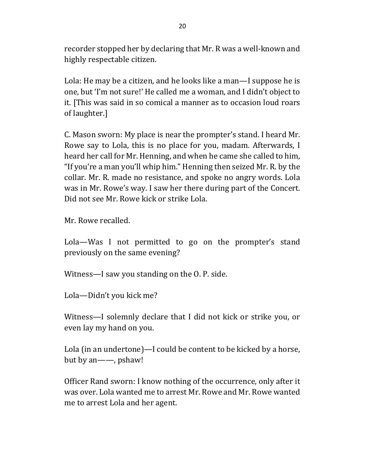recorder stopped her by declaring that Mr. R was a well-known and highly respectable citizen.

Lola: He may be a citizen, and he looks like a man—I suppose he is one, but 'I'm not sure!' He called me a woman, and I didn't object to it. [This was said in so comical a manner as to occasion loud roars of laughter.]

C. Mason sworn: My place is near the prompter's stand. I heard Mr. Rowe say to Lola, this is no place for you, madam. Afterwards, I heard her call for Mr. Henning, and when he came she called to him, "If you're a man you'll whip him." Henning then seized Mr. R. by the collar. Mr. R. made no resistance, and spoke no angry words. Lola was in Mr. Rowe's way. I saw her there during part of the Concert. Did not see Mr. Rowe kick or strike Lola.

Mr. Rowe recalled.

Lola—Was I not permitted to go on the prompter's stand previously on the same evening?

Witness—I saw you standing on the O. P. side.

Lola-Didn't you kick me?

Witness—I solemnly declare that I did not kick or strike you, or even lay my hand on you.

Lola (in an undertone)—I could be content to be kicked by a horse, but by an--, pshaw!

Officer Rand sworn: I know nothing of the occurrence, only after it was over. Lola wanted me to arrest Mr. Rowe and Mr. Rowe wanted me to arrest Lola and her agent.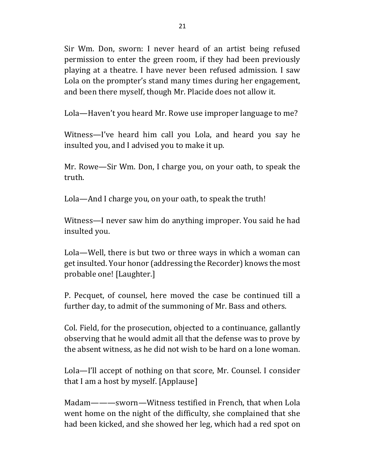Sir Wm. Don, sworn: I never heard of an artist being refused permission to enter the green room, if they had been previously playing at a theatre. I have never been refused admission. I saw Lola on the prompter's stand many times during her engagement, and been there myself, though Mr. Placide does not allow it.

Lola—Haven't you heard Mr. Rowe use improper language to me?

Witness—I've heard him call you Lola, and heard you say he insulted you, and I advised you to make it up.

Mr. Rowe—Sir Wm. Don, I charge you, on your oath, to speak the truth.

Lola—And I charge you, on your oath, to speak the truth!

Witness—I never saw him do anything improper. You said he had insulted you.

Lola—Well, there is but two or three ways in which a woman can get insulted. Your honor (addressing the Recorder) knows the most probable one! [Laughter.]

P. Pecquet, of counsel, here moved the case be continued till a further day, to admit of the summoning of Mr. Bass and others.

Col. Field, for the prosecution, objected to a continuance, gallantly observing that he would admit all that the defense was to prove by the absent witness, as he did not wish to be hard on a lone woman.

Lola—I'll accept of nothing on that score, Mr. Counsel. I consider that I am a host by myself. [Applause]

Madam———sworn—Witness testified in French, that when Lola went home on the night of the difficulty, she complained that she had been kicked, and she showed her leg, which had a red spot on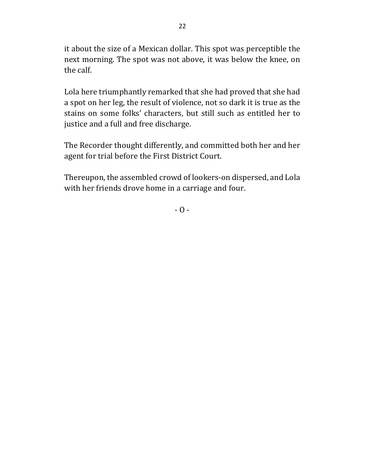it about the size of a Mexican dollar. This spot was perceptible the next morning. The spot was not above, it was below the knee, on the calf.

Lola here triumphantly remarked that she had proved that she had a spot on her leg, the result of violence, not so dark it is true as the stains on some folks' characters, but still such as entitled her to justice and a full and free discharge.

The Recorder thought differently, and committed both her and her agent for trial before the First District Court.

Thereupon, the assembled crowd of lookers-on dispersed, and Lola with her friends drove home in a carriage and four.

 $-0 -$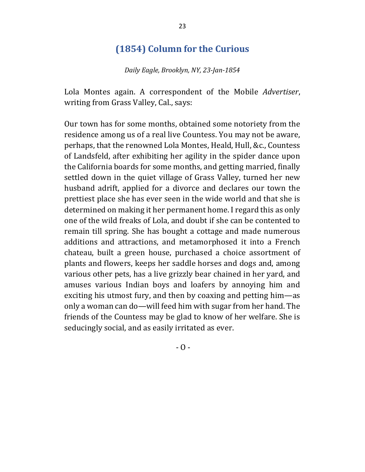## **(1854) Column for the Curious**

*Daily Eagle, Brooklyn, NY, 23-Jan-1854*

Lola Montes again. A correspondent of the Mobile *Advertiser*, writing from Grass Valley, Cal., says:

Our town has for some months, obtained some notoriety from the residence among us of a real live Countess. You may not be aware, perhaps, that the renowned Lola Montes, Heald, Hull, &c., Countess of Landsfeld, after exhibiting her agility in the spider dance upon the California boards for some months, and getting married, finally settled down in the quiet village of Grass Valley, turned her new husband adrift, applied for a divorce and declares our town the prettiest place she has ever seen in the wide world and that she is determined on making it her permanent home. I regard this as only one of the wild freaks of Lola, and doubt if she can be contented to remain till spring. She has bought a cottage and made numerous additions and attractions, and metamorphosed it into a French chateau, built a green house, purchased a choice assortment of plants and flowers, keeps her saddle horses and dogs and, among various other pets, has a live grizzly bear chained in her yard, and amuses various Indian boys and loafers by annoying him and exciting his utmost fury, and then by coaxing and petting him—as only a woman can do—will feed him with sugar from her hand. The friends of the Countess may be glad to know of her welfare. She is seducingly social, and as easily irritated as ever.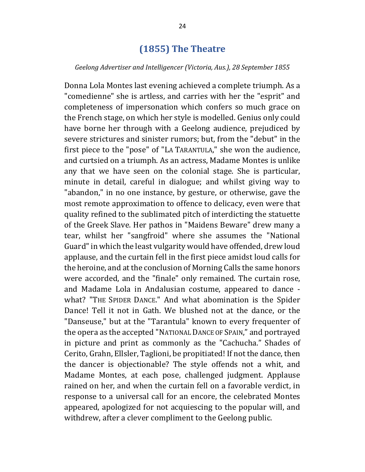### **(1855) The Theatre**

#### *Geelong Advertiser and Intelligencer (Victoria, Aus.), 28 September 1855*

Donna Lola Montes last evening achieved a complete triumph. As a "comedienne" she is artless, and carries with her the "esprit" and completeness of impersonation which confers so much grace on the French stage, on which her style is modelled. Genius only could have borne her through with a Geelong audience, prejudiced by severe strictures and sinister rumors; but, from the "debut" in the first piece to the "pose" of "LA TARANTULA," she won the audience, and curtsied on a triumph. As an actress, Madame Montes is unlike any that we have seen on the colonial stage. She is particular, minute in detail, careful in dialogue; and whilst giving way to "abandon," in no one instance, by gesture, or otherwise, gave the most remote approximation to offence to delicacy, even were that quality refined to the sublimated pitch of interdicting the statuette of the Greek Slave. Her pathos in "Maidens Beware" drew many a tear, whilst her "sangfroid" where she assumes the "National Guard" in which the least vulgarity would have offended, drew loud applause, and the curtain fell in the first piece amidst loud calls for the heroine, and at the conclusion of Morning Calls the same honors were accorded, and the "finale" only remained. The curtain rose, and Madame Lola in Andalusian costume, appeared to dance what? "THE SPIDER DANCE." And what abomination is the Spider Dance! Tell it not in Gath. We blushed not at the dance, or the "Danseuse," but at the "Tarantula" known to every frequenter of the opera as the accepted "NATIONAL DANCE OF SPAIN," and portrayed in picture and print as commonly as the "Cachucha." Shades of Cerito, Grahn, Ellsler, Taglioni, be propitiated! If not the dance, then the dancer is objectionable? The style offends not a whit, and Madame Montes, at each pose, challenged judgment. Applause rained on her, and when the curtain fell on a favorable verdict, in response to a universal call for an encore, the celebrated Montes appeared, apologized for not acquiescing to the popular will, and withdrew, after a clever compliment to the Geelong public.